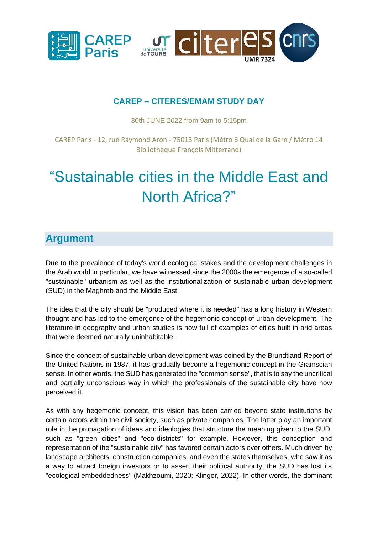

### **CAREP – CITERES/EMAM STUDY DAY**

30th JUNE 2022 from 9am to 5:15pm

CAREP Paris - 12, rue Raymond Aron - 75013 Paris (Métro 6 Quai de la Gare / Métro 14 Bibliothèque François Mitterrand)

# "Sustainable cities in the Middle East and North Africa?"

## **Argument**

Due to the prevalence of today's world ecological stakes and the development challenges in the Arab world in particular, we have witnessed since the 2000s the emergence of a so-called "sustainable" urbanism as well as the institutionalization of sustainable urban development (SUD) in the Maghreb and the Middle East.

The idea that the city should be "produced where it is needed" has a long history in Western thought and has led to the emergence of the hegemonic concept of urban development. The literature in geography and urban studies is now full of examples of cities built in arid areas that were deemed naturally uninhabitable.

Since the concept of sustainable urban development was coined by the Brundtland Report of the United Nations in 1987, it has gradually become a hegemonic concept in the Gramscian sense. In other words, the SUD has generated the "common sense", that is to say the uncritical and partially unconscious way in which the professionals of the sustainable city have now perceived it.

As with any hegemonic concept, this vision has been carried beyond state institutions by certain actors within the civil society, such as private companies. The latter play an important role in the propagation of ideas and ideologies that structure the meaning given to the SUD, such as "green cities" and "eco-districts" for example. However, this conception and representation of the "sustainable city" has favored certain actors over others. Much driven by landscape architects, construction companies, and even the states themselves, who saw it as a way to attract foreign investors or to assert their political authority, the SUD has lost its "ecological embeddedness" (Makhzoumi, 2020; Klinger, 2022). In other words, the dominant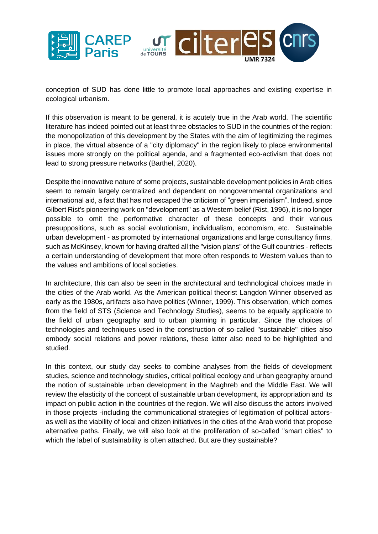

conception of SUD has done little to promote local approaches and existing expertise in ecological urbanism.

If this observation is meant to be general, it is acutely true in the Arab world. The scientific literature has indeed pointed out at least three obstacles to SUD in the countries of the region: the monopolization of this development by the States with the aim of legitimizing the regimes in place, the virtual absence of a "city diplomacy" in the region likely to place environmental issues more strongly on the political agenda, and a fragmented eco-activism that does not lead to strong pressure networks (Barthel, 2020).

Despite the innovative nature of some projects, sustainable development policies in Arab cities seem to remain largely centralized and dependent on nongovernmental organizations and international aid, a fact that has not escaped the criticism of "green imperialism". Indeed, since Gilbert Rist's pioneering work on "development" as a Western belief (Rist, 1996), it is no longer possible to omit the performative character of these concepts and their various presuppositions, such as social evolutionism, individualism, economism, etc. Sustainable urban development - as promoted by international organizations and large consultancy firms, such as McKinsey, known for having drafted all the "vision plans" of the Gulf countries - reflects a certain understanding of development that more often responds to Western values than to the values and ambitions of local societies.

In architecture, this can also be seen in the architectural and technological choices made in the cities of the Arab world. As the American political theorist Langdon Winner observed as early as the 1980s, artifacts also have politics (Winner, 1999). This observation, which comes from the field of STS (Science and Technology Studies), seems to be equally applicable to the field of urban geography and to urban planning in particular. Since the choices of technologies and techniques used in the construction of so-called "sustainable" cities also embody social relations and power relations, these latter also need to be highlighted and studied.

In this context, our study day seeks to combine analyses from the fields of development studies, science and technology studies, critical political ecology and urban geography around the notion of sustainable urban development in the Maghreb and the Middle East. We will review the elasticity of the concept of sustainable urban development, its appropriation and its impact on public action in the countries of the region. We will also discuss the actors involved in those projects -including the communicational strategies of legitimation of political actorsas well as the viability of local and citizen initiatives in the cities of the Arab world that propose alternative paths. Finally, we will also look at the proliferation of so-called "smart cities'' to which the label of sustainability is often attached. But are they sustainable?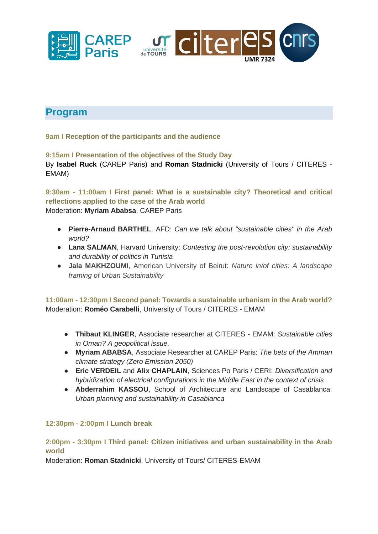

## **Program**

**9am I Reception of the participants and the audience**

**9:15am I Presentation of the objectives of the Study Day**  By **Isabel Ruck** (CAREP Paris) and **Roman Stadnicki** (University of Tours / CITERES - EMAM)

**9:30am - 11:00am I First panel: What is a sustainable city? Theoretical and critical reflections applied to the case of the Arab world** Moderation: **Myriam Ababsa**, CAREP Paris

- **Pierre-Arnaud BARTHEL**, AFD: *Can we talk about "sustainable cities" in the Arab world?*
- **Lana SALMAN**, Harvard University: *Contesting the post-revolution city: sustainability and durability of politics in Tunisia*
- **Jala MAKHZOUMI**, American University of Beirut: *Nature in/of cities: A landscape framing of Urban Sustainability*

**11:00am - 12:30pm I Second panel: Towards a sustainable urbanism in the Arab world?**  Moderation: **Roméo Carabelli**, University of Tours / CITERES - EMAM

- **Thibaut KLINGER**, Associate researcher at CITERES EMAM: *Sustainable cities in Oman? A geopolitical issue.*
- **Myriam ABABSA**, Associate Researcher at CAREP Paris: *The bets of the Amman climate strategy (Zero Emission 2050)*
- **Eric VERDEIL** and **Alix CHAPLAIN**, Sciences Po Paris / CERI: *Diversification and hybridization of electrical configurations in the Middle East in the context of crisis*
- **Abderrahim KASSOU**, School of Architecture and Landscape of Casablanca: *Urban planning and sustainability in Casablanca*

#### **12:30pm - 2:00pm I Lunch break**

**2:00pm - 3:30pm I Third panel: Citizen initiatives and urban sustainability in the Arab world** 

Moderation: **Roman Stadnicki**, University of Tours/ CITERES-EMAM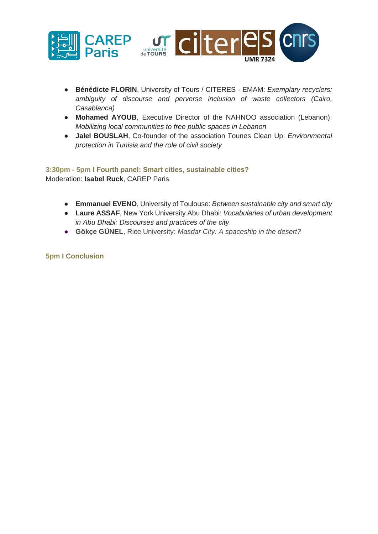

- **Bénédicte FLORIN**, University of Tours / CITERES EMAM: *Exemplary recyclers: ambiguity of discourse and perverse inclusion of waste collectors (Cairo, Casablanca)*
- **Mohamed AYOUB**, Executive Director of the NAHNOO association (Lebanon): *Mobilizing local communities to free public spaces in Lebanon*
- **Jalel BOUSLAH**, Co-founder of the association Tounes Clean Up: *Environmental protection in Tunisia and the role of civil society*

#### **3:30pm - 5pm I Fourth panel: Smart cities, sustainable cities?**  Moderation: **Isabel Ruck**, CAREP Paris

- **Emmanuel EVENO**, University of Toulouse: *Between sustainable city and smart city*
- **Laure ASSAF**, New York University Abu Dhabi: *Vocabularies of urban development in Abu Dhabi: Discourses and practices of the city*
- **Gökçe GÜNEL**, Rice University: *Masdar City: A spaceship in the desert?*

**5pm I Conclusion**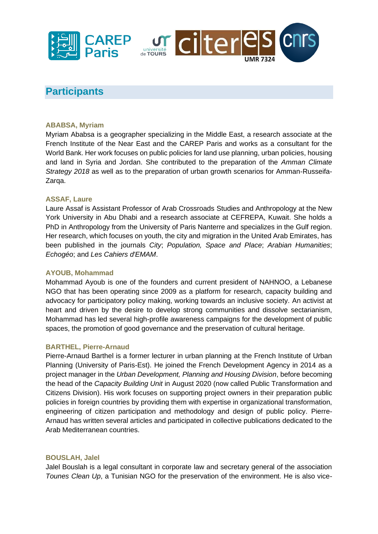



## **Participants**

#### **ABABSA, Myriam**

Myriam Ababsa is a geographer specializing in the Middle East, a research associate at the French Institute of the Near East and the CAREP Paris and works as a consultant for the World Bank. Her work focuses on public policies for land use planning, urban policies, housing and land in Syria and Jordan. She contributed to the preparation of the *Amman Climate Strategy 2018* as well as to the preparation of urban growth scenarios for Amman-Russeifa-Zarqa.

#### **ASSAF, Laure**

Laure Assaf is Assistant Professor of Arab Crossroads Studies and Anthropology at the New York University in Abu Dhabi and a research associate at CEFREPA, Kuwait. She holds a PhD in Anthropology from the University of Paris Nanterre and specializes in the Gulf region. Her research, which focuses on youth, the city and migration in the United Arab Emirates, has been published in the journals *City*; *Population, Space and Place*; *Arabian Humanities*; *Echogéo*; and *Les Cahiers d'EMAM*.

#### **AYOUB, Mohammad**

Mohammad Ayoub is one of the founders and current president of NAHNOO, a Lebanese NGO that has been operating since 2009 as a platform for research, capacity building and advocacy for participatory policy making, working towards an inclusive society. An activist at heart and driven by the desire to develop strong communities and dissolve sectarianism, Mohammad has led several high-profile awareness campaigns for the development of public spaces, the promotion of good governance and the preservation of cultural heritage.

#### **BARTHEL, Pierre-Arnaud**

Pierre-Arnaud Barthel is a former lecturer in urban planning at the French Institute of Urban Planning (University of Paris-Est). He joined the French Development Agency in 2014 as a project manager in the *Urban Development, Planning and Housing Division*, before becoming the head of the *Capacity Building Unit* in August 2020 (now called Public Transformation and Citizens Division). His work focuses on supporting project owners in their preparation public policies in foreign countries by providing them with expertise in organizational transformation, engineering of citizen participation and methodology and design of public policy. Pierre-Arnaud has written several articles and participated in collective publications dedicated to the Arab Mediterranean countries.

#### **BOUSLAH, Jalel**

Jalel Bouslah is a legal consultant in corporate law and secretary general of the association *Tounes Clean Up*, a Tunisian NGO for the preservation of the environment. He is also vice-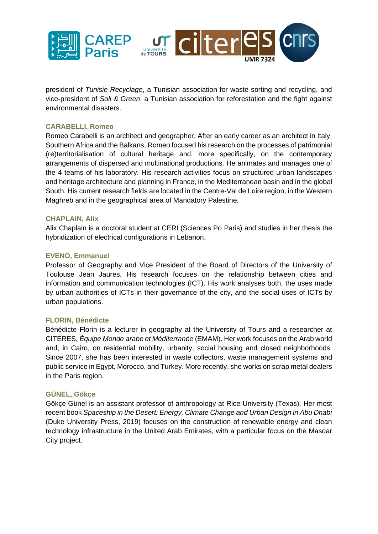

president of *Tunisie Recyclage*, a Tunisian association for waste sorting and recycling, and vice-president of *Soli & Green*, a Tunisian association for reforestation and the fight against environmental disasters.

#### **CARABELLI, Romeo**

Romeo Carabelli is an architect and geographer. After an early career as an architect in Italy, Southern Africa and the Balkans, Romeo focused his research on the processes of patrimonial (re)territorialisation of cultural heritage and, more specifically, on the contemporary arrangements of dispersed and multinational productions. He animates and manages one of the 4 teams of his laboratory. His research activities focus on structured urban landscapes and heritage architecture and planning in France, in the Mediterranean basin and in the global South. His current research fields are located in the Centre-Val de Loire region, in the Western Maghreb and in the geographical area of Mandatory Palestine.

#### **CHAPLAIN, Alix**

Alix Chaplain is a doctoral student at CERI (Sciences Po Paris) and studies in her thesis the hybridization of electrical configurations in Lebanon.

#### **EVENO, Emmanuel**

Professor of Geography and Vice President of the Board of Directors of the University of Toulouse Jean Jaures. His research focuses on the relationship between cities and information and communication technologies (ICT). His work analyses both, the uses made by urban authorities of ICTs in their governance of the city, and the social uses of ICTs by urban populations.

#### **FLORIN, Bénédicte**

Bénédicte Florin is a lecturer in geography at the University of Tours and a researcher at CITERES, *Équipe Monde arabe et Méditerranée* (EMAM). Her work focuses on the Arab world and, in Cairo, on residential mobility, urbanity, social housing and closed neighborhoods. Since 2007, she has been interested in waste collectors, waste management systems and public service in Egypt, Morocco, and Turkey. More recently, she works on scrap metal dealers in the Paris region.

#### **GÜNEL, Gökçe**

Gökçe Günel is an assistant professor of anthropology at Rice University (Texas). Her most recent book *Spaceship in the Desert: Energy, Climate Change and Urban Design in Abu Dhabi* (Duke University Press, 2019) focuses on the construction of renewable energy and clean technology infrastructure in the United Arab Emirates, with a particular focus on the Masdar City project.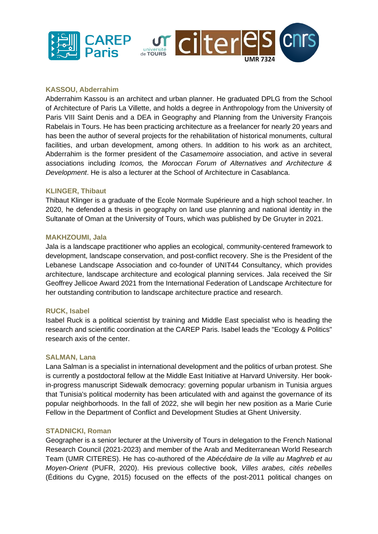

#### **KASSOU, Abderrahim**

Abderrahim Kassou is an architect and urban planner. He graduated DPLG from the School of Architecture of Paris La Villette, and holds a degree in Anthropology from the University of Paris VIII Saint Denis and a DEA in Geography and Planning from the University François Rabelais in Tours. He has been practicing architecture as a freelancer for nearly 20 years and has been the author of several projects for the rehabilitation of historical monuments, cultural facilities, and urban development, among others. In addition to his work as an architect, Abderrahim is the former president of the *Casamemoire* association, and active in several associations including *Icomos,* the *Moroccan Forum of Alternatives and Architecture & Development*. He is also a lecturer at the School of Architecture in Casablanca.

#### **KLINGER, Thibaut**

Thibaut Klinger is a graduate of the Ecole Normale Supérieure and a high school teacher. In 2020, he defended a thesis in geography on land use planning and national identity in the Sultanate of Oman at the University of Tours, which was published by De Gruyter in 2021.

#### **MAKHZOUMI, Jala**

Jala is a landscape practitioner who applies an ecological, community-centered framework to development, landscape conservation, and post-conflict recovery. She is the President of the Lebanese Landscape Association and co-founder of UNIT44 Consultancy, which provides architecture, landscape architecture and ecological planning services. Jala received the Sir Geoffrey Jellicoe Award 2021 from the International Federation of Landscape Architecture for her outstanding contribution to landscape architecture practice and research.

#### **RUCK, Isabel**

Isabel Ruck is a political scientist by training and Middle East specialist who is heading the research and scientific coordination at the CAREP Paris. Isabel leads the "Ecology & Politics" research axis of the center.

#### **SALMAN, Lana**

Lana Salman is a specialist in international development and the politics of urban protest. She is currently a postdoctoral fellow at the Middle East Initiative at Harvard University. Her bookin-progress manuscript Sidewalk democracy: governing popular urbanism in Tunisia argues that Tunisia's political modernity has been articulated with and against the governance of its popular neighborhoods. In the fall of 2022, she will begin her new position as a Marie Curie Fellow in the Department of Conflict and Development Studies at Ghent University.

#### **STADNICKI, Roman**

Geographer is a senior lecturer at the University of Tours in delegation to the French National Research Council (2021-2023) and member of the Arab and Mediterranean World Research Team (UMR CITERES). He has co-authored of the *Abécédaire de la ville au Maghreb et au Moyen-Orient* (PUFR, 2020). His previous collective book, *Villes arabes, cités rebelles*  (Éditions du Cygne, 2015) focused on the effects of the post-2011 political changes on